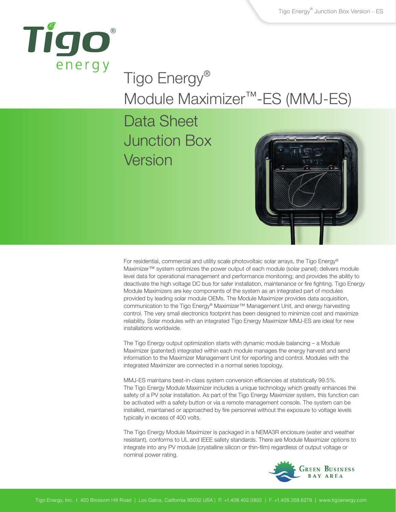

# Tigo Energy® Module Maximizer™-ES (MMJ-ES)

## Data Sheet Junction Box Version



For residential, commercial and utility scale photovoltaic solar arrays, the Tigo Energy® Maximizer™ system optimizes the power output of each module (solar panel); delivers module level data for operational management and performance monitoring; and provides the ability to deactivate the high voltage DC bus for safer installation, maintenance or fire fighting. Tigo Energy Module Maximizers are key components of the system as an integrated part of modules provided by leading solar module OEMs. The Module Maximizer provides data acquisition, communication to the Tigo Energy® Maximizer™ Management Unit, and energy harvesting control. The very small electronics footprint has been designed to minimize cost and maximize reliability. Solar modules with an integrated Tigo Energy Maximizer MMJ-ES are ideal for new installations worldwide.

The Tigo Energy output optimization starts with dynamic module balancing – a Module Maximizer (patented) integrated within each module manages the energy harvest and send information to the Maximizer Management Unit for reporting and control. Modules with the integrated Maximizer are connected in a normal series topology.

MMJ-ES maintains best-in-class system conversion efficiencies at statistically 99.5%. The Tigo Energy Module Maximizer includes a unique technology which greatly enhances the safety of a PV solar installation. As part of the Tigo Energy Maximizer system, this function can be activated with a safety button or via a remote management console. The system can be installed, maintained or approached by fire personnel without the exposure to voltage levels typically in excess of 400 volts.

The Tigo Energy Module Maximizer is packaged in a NEMA3R enclosure (water and weather resistant), conforms to UL and IEEE safety standards. There are Module Maximizer options to integrate into any PV module (crystalline silicon or thin-film) regardless of output voltage or nominal power rating.